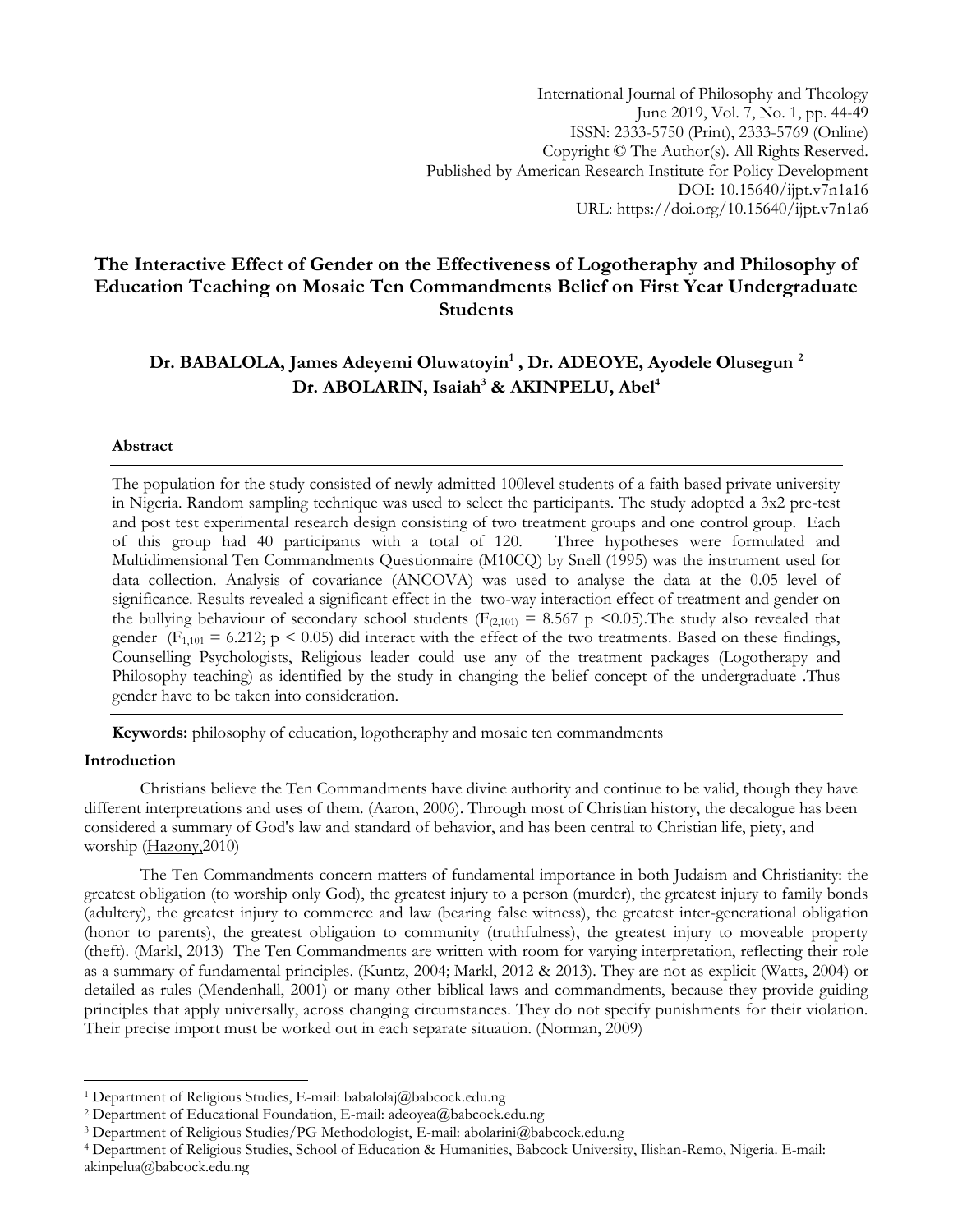International Journal of Philosophy and Theology June 2019, Vol. 7, No. 1, pp. 44-49 ISSN: 2333-5750 (Print), 2333-5769 (Online) Copyright © The Author(s). All Rights Reserved. Published by American Research Institute for Policy Development DOI: 10.15640/ijpt.v7n1a16 URL: https://doi.org/10.15640/ijpt.v7n1a6

# **The Interactive Effect of Gender on the Effectiveness of Logotheraphy and Philosophy of Education Teaching on Mosaic Ten Commandments Belief on First Year Undergraduate Students**

# **Dr. BABALOLA, James Adeyemi Oluwatoyin<sup>1</sup> , Dr. ADEOYE, Ayodele Olusegun <sup>2</sup> Dr. ABOLARIN, Isaiah<sup>3</sup> & AKINPELU, Abel<sup>4</sup>**

## **Abstract**

The population for the study consisted of newly admitted 100level students of a faith based private university in Nigeria. Random sampling technique was used to select the participants. The study adopted a 3x2 pre-test and post test experimental research design consisting of two treatment groups and one control group. Each of this group had 40 participants with a total of 120. Three hypotheses were formulated and of this group had 40 participants with a total of 120. Multidimensional Ten Commandments Questionnaire (M10CQ) by Snell (1995) was the instrument used for data collection. Analysis of covariance (ANCOVA) was used to analyse the data at the 0.05 level of significance. Results revealed a significant effect in the two-way interaction effect of treatment and gender on the bullying behaviour of secondary school students ( $F_{(2,101)} = 8.567$  p <0.05). The study also revealed that gender ( $F_{1,101} = 6.212$ ;  $p \le 0.05$ ) did interact with the effect of the two treatments. Based on these findings, Counselling Psychologists, Religious leader could use any of the treatment packages (Logotherapy and Philosophy teaching) as identified by the study in changing the belief concept of the undergraduate .Thus gender have to be taken into consideration.

**Keywords:** philosophy of education, logotheraphy and mosaic ten commandments

# **Introduction**

 $\overline{a}$ 

Christians believe the Ten Commandments have divine authority and continue to be valid, though they have different interpretations and uses of them. (Aaron, 2006). Through most of Christian history, the decalogue has been considered a summary of God's law and standard of behavior, and has been central to Christian life, piety, and worship [\(Hazony,2](https://en.wikipedia.org/wiki/David_Hazony)010)

The Ten Commandments concern matters of fundamental importance in both Judaism and Christianity: the greatest obligation (to worship only God), the greatest injury to a person (murder), the greatest injury to family bonds (adultery), the greatest injury to commerce and law (bearing false witness), the greatest inter-generational obligation (honor to parents), the greatest obligation to community (truthfulness), the greatest injury to moveable property (theft). (Markl, 2013) The Ten Commandments are written with room for varying interpretation, reflecting their role as a summary of fundamental principles. (Kuntz, 2004; Markl, 2012 & 2013). They are not as explicit (Watts, 2004) or detailed as rules [\(Mendenhall, 2](https://en.wikipedia.org/wiki/George_E._Mendenhall)001) or many other biblical laws and commandments, because they provide guiding principles that apply universally, across changing circumstances. They do not specify punishments for their violation. Their precise import must be worked out in each separate situation. (Norman, 2009)

<sup>&</sup>lt;sup>1</sup> Department of Religious Studies, E-mail: babalolaj@babcock.edu.ng

<sup>2</sup> Department of Educational Foundation, E-mail: adeoyea@babcock.edu.ng

<sup>3</sup> Department of Religious Studies/PG Methodologist, E-mail: abolarini@babcock.edu.ng

<sup>4</sup> Department of Religious Studies, School of Education & Humanities, Babcock University, Ilishan-Remo, Nigeria. E-mail: akinpelua@babcock.edu.ng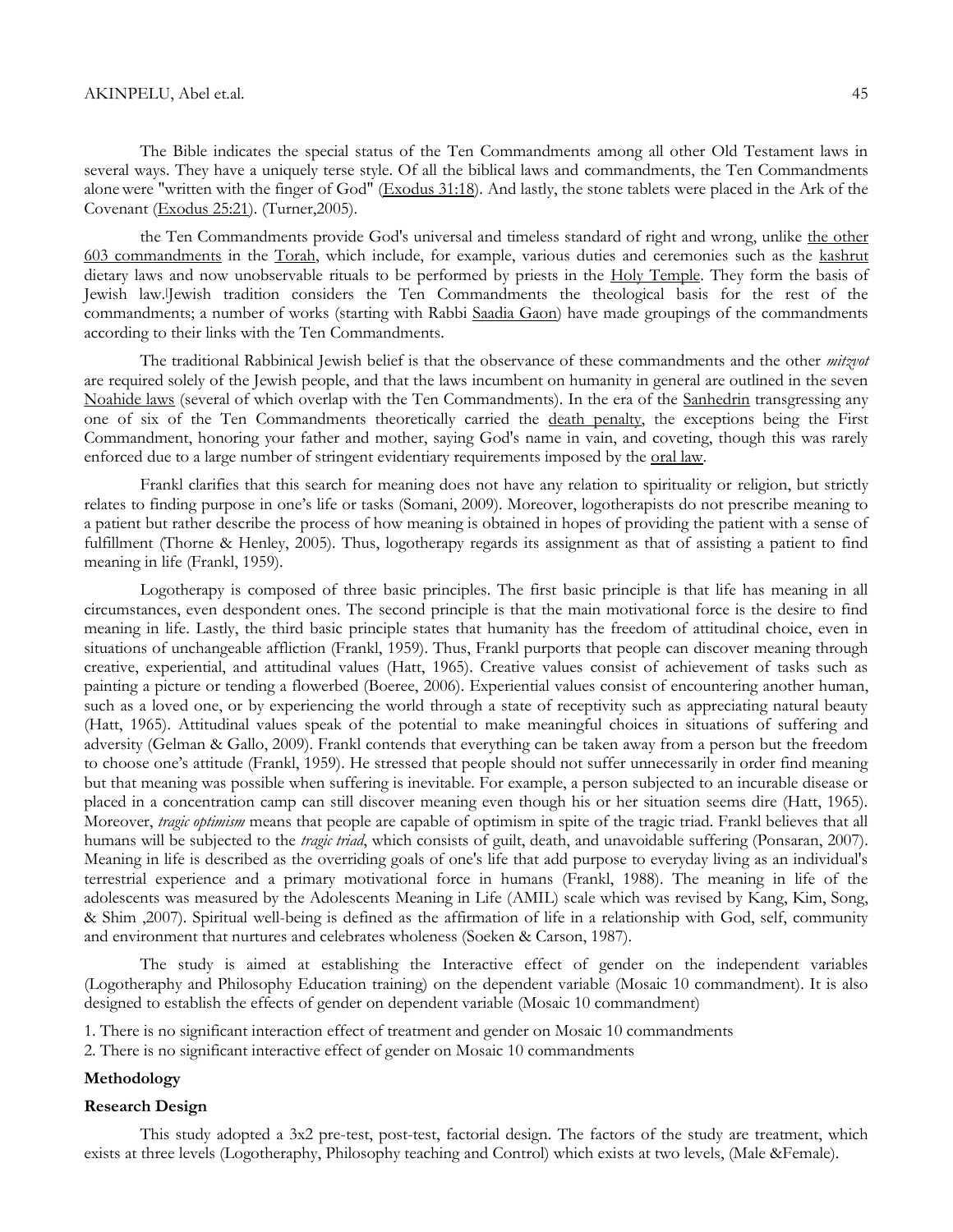The Bible indicates the special status of the Ten Commandments among all other Old Testament laws in several ways. They have a uniquely terse style. Of all the biblical laws and commandments, the Ten Commandments alonewere "written with the finger of God" [\(Exodus 31:18\)](http://www.biblegateway.com/passage/?search=Exodus+31%3A18&version=ESV). And lastly, the stone tablets were placed in the Ark of the Covenant [\(Exodus 25:21\)](http://www.biblegateway.com/passage/?search=Exodus+25%3A21&version=ESV). (Turner,2005).

the Ten Commandments provide God's universal and timeless standard of right and wrong, unlike [the other](http://en.wikipedia.org/wiki/613_mitzvot)  [603 commandments](http://en.wikipedia.org/wiki/613_mitzvot) in the [Torah,](http://en.wikipedia.org/wiki/Torah) which include, for example, various duties and ceremonies such as the [kashrut](http://en.wikipedia.org/wiki/Kashrut) dietary laws and now unobservable rituals to be performed by priests in the [Holy Temple.](http://en.wikipedia.org/wiki/Holy_Temple) They form the basis of Jewish law.[Jewish tradition considers the Ten Commandments the theological basis for the rest of the commandments; a number of works (starting with Rabbi [Saadia Gaon\)](http://en.wikipedia.org/wiki/Saadia_Gaon) have made groupings of the commandments according to their links with the Ten Commandments.

The traditional Rabbinical Jewish belief is that the observance of these commandments and the other *mitzvot* are required solely of the Jewish people, and that the laws incumbent on humanity in general are outlined in the seven [Noahide laws](http://en.wikipedia.org/wiki/Noahide_laws) (several of which overlap with the Ten Commandments). In the era of the [Sanhedrin](http://en.wikipedia.org/wiki/Sanhedrin) transgressing any one of six of the Ten Commandments theoretically carried the [death penalty,](http://en.wikipedia.org/wiki/Death_penalty) the exceptions being the First Commandment, honoring your father and mother, saying God's name in vain, and coveting, though this was rarely enforced due to a large number of stringent evidentiary requirements imposed by the <u>oral law</u>.

Frankl clarifies that this search for meaning does not have any relation to spirituality or [religion,](http://www.studentpulse.com/keyword/religion) but strictly relates to finding purpose in one's life or tasks (Somani, 2009). Moreover, logotherapists do not prescribe meaning to a patient but rather describe the process of how meaning is obtained in hopes of providing the patient with a sense of fulfillment (Thorne & Henley, 2005). Thus, logotherapy regards its assignment as that of assisting a patient to find meaning in life (Frankl, 1959).

Logotherapy is composed of three basic principles. The first basic principle is that life has meaning in all circumstances, even despondent ones. The second principle is that the main motivational force is the desire to find meaning in life. Lastly, the third basic principle states that humanity has the freedom of attitudinal choice, even in situations of unchangeable affliction (Frankl, 1959). Thus, Frankl purports that people can discover meaning through creative, experiential, and attitudinal values (Hatt, 1965). Creative values consist of achievement of tasks such as painting a picture or tending a flowerbed (Boeree, 2006). Experiential values consist of encountering another human, such as a loved one, or by experiencing the world through a state of receptivity such as appreciating natural beauty (Hatt, 1965). Attitudinal values speak of the potential to make meaningful choices in situations of suffering and adversity (Gelman & Gallo, 2009). Frankl contends that everything can be taken away from a person but the freedom to choose one's attitude (Frankl, 1959). He stressed that people should not suffer unnecessarily in order find meaning but that meaning was possible when suffering is inevitable. For example, a person subjected to an incurable disease or placed in a concentration camp can still discover meaning even though his or her situation seems dire (Hatt, 1965). Moreover, *tragic optimism* means that people are capable of optimism in spite of the tragic triad. Frankl believes that all humans will be subjected to the *tragic triad*, which consists of guilt, death, and unavoidable suffering (Ponsaran, 2007). Meaning in life is described as the overriding goals of one's life that add purpose to everyday living as an individual's terrestrial experience and a primary motivational force in humans (Frankl, 1988). The meaning in life of the adolescents was measured by the Adolescents Meaning in Life (AMIL) scale which was revised by Kang, Kim, Song, & Shim ,2007). Spiritual well-being is defined as the affirmation of life in a relationship with God, self, community and environment that nurtures and celebrates wholeness (Soeken & Carson, 1987).

The study is aimed at establishing the Interactive effect of gender on the independent variables (Logotheraphy and Philosophy Education training) on the dependent variable (Mosaic 10 commandment). It is also designed to establish the effects of gender on dependent variable (Mosaic 10 commandment)

- 1. There is no significant interaction effect of treatment and gender on Mosaic 10 commandments
- 2. There is no significant interactive effect of gender on Mosaic 10 commandments

## **Methodology**

## **Research Design**

This study adopted a 3x2 pre-test, post-test, factorial design. The factors of the study are treatment, which exists at three levels (Logotheraphy, Philosophy teaching and Control) which exists at two levels, (Male &Female).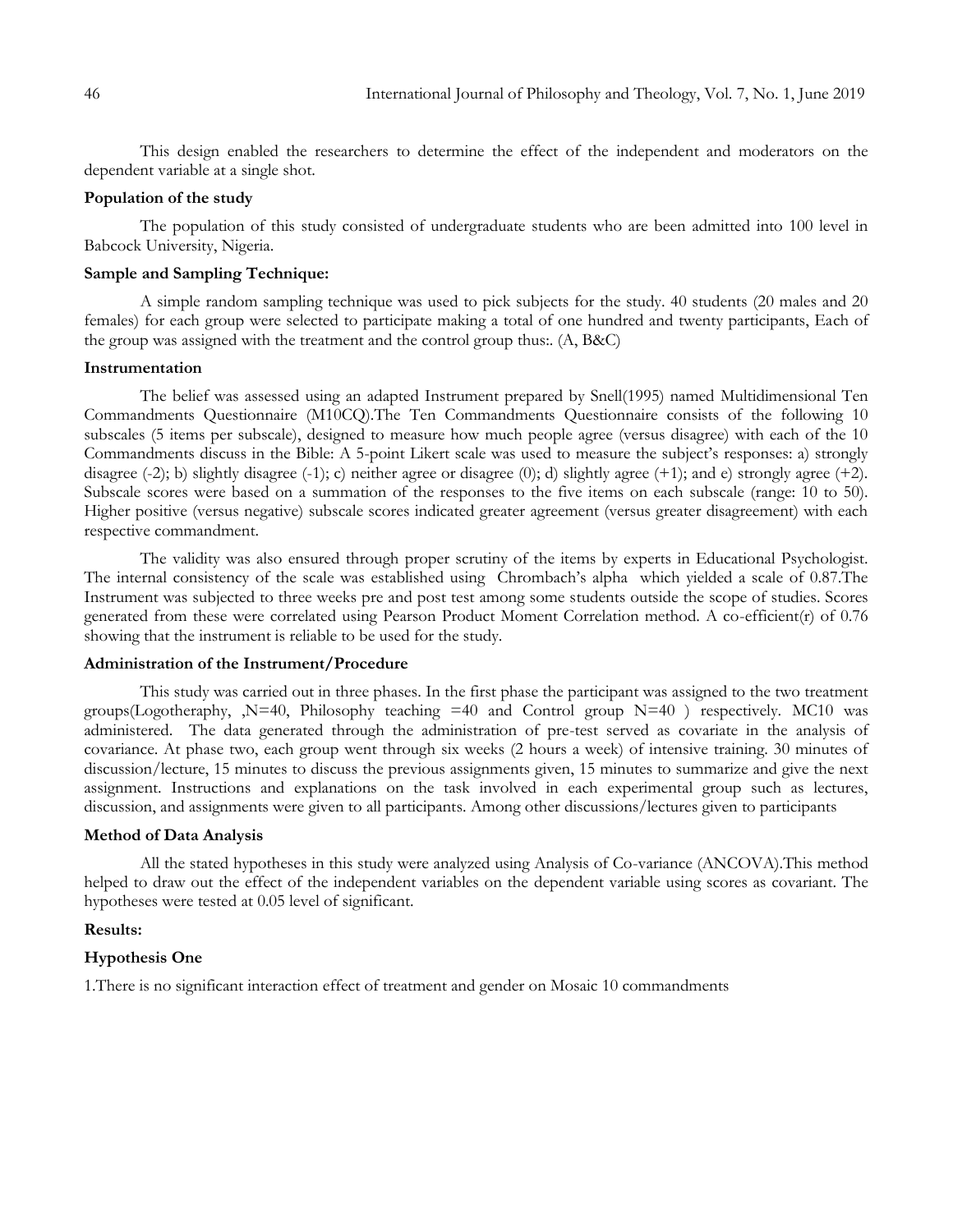This design enabled the researchers to determine the effect of the independent and moderators on the dependent variable at a single shot.

# **Population of the study**

The population of this study consisted of undergraduate students who are been admitted into 100 level in Babcock University, Nigeria.

# **Sample and Sampling Technique:**

A simple random sampling technique was used to pick subjects for the study. 40 students (20 males and 20 females) for each group were selected to participate making a total of one hundred and twenty participants, Each of the group was assigned with the treatment and the control group thus:. (A, B&C)

#### **Instrumentation**

The belief was assessed using an adapted Instrument prepared by Snell(1995) named Multidimensional Ten Commandments Questionnaire (M10CQ).The Ten Commandments Questionnaire consists of the following 10 subscales (5 items per subscale), designed to measure how much people agree (versus disagree) with each of the 10 Commandments discuss in the Bible: A 5-point Likert scale was used to measure the subject's responses: a) strongly disagree (-2); b) slightly disagree (-1); c) neither agree or disagree (0); d) slightly agree (+1); and e) strongly agree (+2). Subscale scores were based on a summation of the responses to the five items on each subscale (range: 10 to 50). Higher positive (versus negative) subscale scores indicated greater agreement (versus greater disagreement) with each respective commandment.

The validity was also ensured through proper scrutiny of the items by experts in Educational Psychologist. The internal consistency of the scale was established using Chrombach's alpha which yielded a scale of 0.87.The Instrument was subjected to three weeks pre and post test among some students outside the scope of studies. Scores generated from these were correlated using Pearson Product Moment Correlation method. A co-efficient(r) of 0.76 showing that the instrument is reliable to be used for the study.

## **Administration of the Instrument/Procedure**

This study was carried out in three phases. In the first phase the participant was assigned to the two treatment groups(Logotheraphy,  $N=40$ , Philosophy teaching  $=40$  and Control group  $N=40$ ) respectively. MC10 was administered. The data generated through the administration of pre-test served as covariate in the analysis of covariance. At phase two, each group went through six weeks (2 hours a week) of intensive training. 30 minutes of discussion/lecture, 15 minutes to discuss the previous assignments given, 15 minutes to summarize and give the next assignment. Instructions and explanations on the task involved in each experimental group such as lectures, discussion, and assignments were given to all participants. Among other discussions/lectures given to participants

## **Method of Data Analysis**

All the stated hypotheses in this study were analyzed using Analysis of Co-variance (ANCOVA).This method helped to draw out the effect of the independent variables on the dependent variable using scores as covariant. The hypotheses were tested at 0.05 level of significant.

## **Results:**

## **Hypothesis One**

1.There is no significant interaction effect of treatment and gender on Mosaic 10 commandments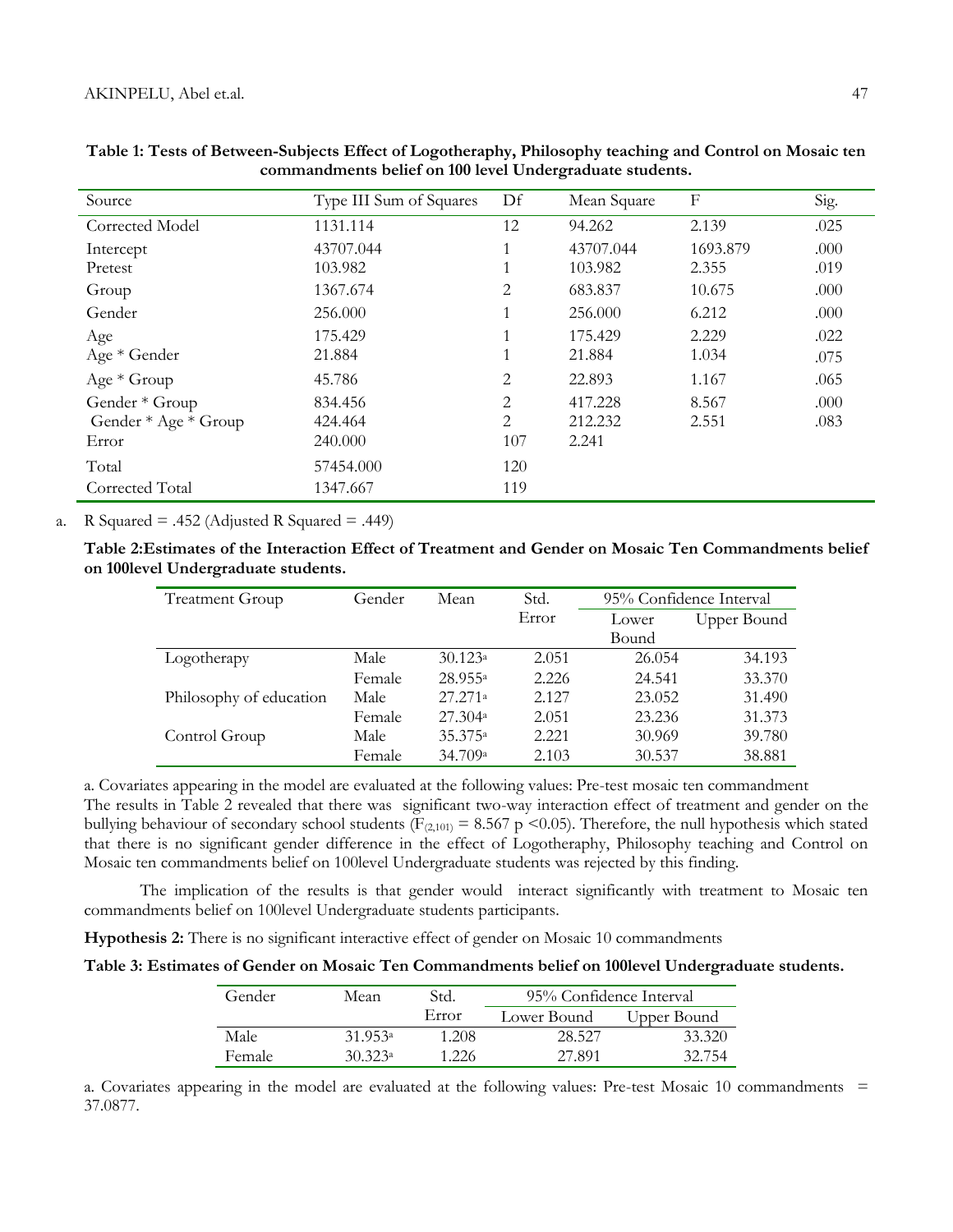| Source               | Type III Sum of Squares |                | Mean Square | $\mathbf F$ | Sig. |
|----------------------|-------------------------|----------------|-------------|-------------|------|
| Corrected Model      | 1131.114                | 12             | 94.262      | 2.139       | .025 |
| Intercept            | 43707.044               | $\mathbf{1}$   | 43707.044   | 1693.879    | .000 |
| Pretest              | 103.982                 | $\perp$        | 103.982     | 2.355       | .019 |
| Group                | 1367.674                | 2              | 683.837     | 10.675      | .000 |
| Gender               | 256.000                 | $\mathbf{1}$   | 256.000     | 6.212       | .000 |
| Age                  | 175.429                 | 1              | 175.429     | 2.229       | .022 |
| Age * Gender         | 21.884                  | $\overline{ }$ | 21.884      | 1.034       | .075 |
| $Age * Group$        | 45.786                  | $\overline{2}$ | 22.893      | 1.167       | .065 |
| Gender * Group       | 834.456                 | $\overline{2}$ | 417.228     | 8.567       | .000 |
| Gender * Age * Group | 424.464                 | $\overline{2}$ | 212.232     | 2.551       | .083 |
| Error                | 240.000                 | 107            | 2.241       |             |      |
| Total                | 57454.000               | 120            |             |             |      |
| Corrected Total      | 1347.667                | 119            |             |             |      |

| Table 1: Tests of Between-Subjects Effect of Logotheraphy, Philosophy teaching and Control on Mosaic ten |
|----------------------------------------------------------------------------------------------------------|
| commandments belief on 100 level Undergraduate students.                                                 |

a. R Squared = .452 (Adjusted R Squared = .449)

**Table 2:Estimates of the Interaction Effect of Treatment and Gender on Mosaic Ten Commandments belief on 100level Undergraduate students.**

| <b>Treatment Group</b>  | Gender | Mean                | Std.  | 95% Confidence Interval |             |
|-------------------------|--------|---------------------|-------|-------------------------|-------------|
|                         |        |                     | Error | Lower                   | Upper Bound |
|                         |        |                     |       | Bound                   |             |
| Logotherapy             | Male   | 30.123a             | 2.051 | 26.054                  | 34.193      |
|                         | Female | 28.955 <sup>a</sup> | 2.226 | 24.541                  | 33.370      |
| Philosophy of education | Male   | 27.271a             | 2.127 | 23.052                  | 31.490      |
|                         | Female | 27.304a             | 2.051 | 23.236                  | 31.373      |
| Control Group           | Male   | 35.375 <sup>a</sup> | 2.221 | 30.969                  | 39.780      |
|                         | Female | 34.709 <sup>a</sup> | 2.103 | 30.537                  | 38.881      |

a. Covariates appearing in the model are evaluated at the following values: Pre-test mosaic ten commandment The results in Table 2 revealed that there was significant two-way interaction effect of treatment and gender on the bullying behaviour of secondary school students ( $F_{(2,101)} = 8.567$  p <0.05). Therefore, the null hypothesis which stated that there is no significant gender difference in the effect of Logotheraphy, Philosophy teaching and Control on Mosaic ten commandments belief on 100level Undergraduate students was rejected by this finding.

The implication of the results is that gender would interact significantly with treatment to Mosaic ten commandments belief on 100level Undergraduate students participants.

**Hypothesis 2:** There is no significant interactive effect of gender on Mosaic 10 commandments

|  |  | Table 3: Estimates of Gender on Mosaic Ten Commandments belief on 100level Undergraduate students |
|--|--|---------------------------------------------------------------------------------------------------|
|  |  |                                                                                                   |

| Gender        | Mean    | Std.  | 95% Confidence Interval |             |  |
|---------------|---------|-------|-------------------------|-------------|--|
|               |         | Error | Lower Bound             | Upper Bound |  |
| Male          | 31.953a | 1.208 | 28.527                  | 33.320      |  |
| <b>Female</b> | 30.323a | 1.226 | 27.891                  | 32.754      |  |

a. Covariates appearing in the model are evaluated at the following values: Pre-test Mosaic 10 commandments = 37.0877.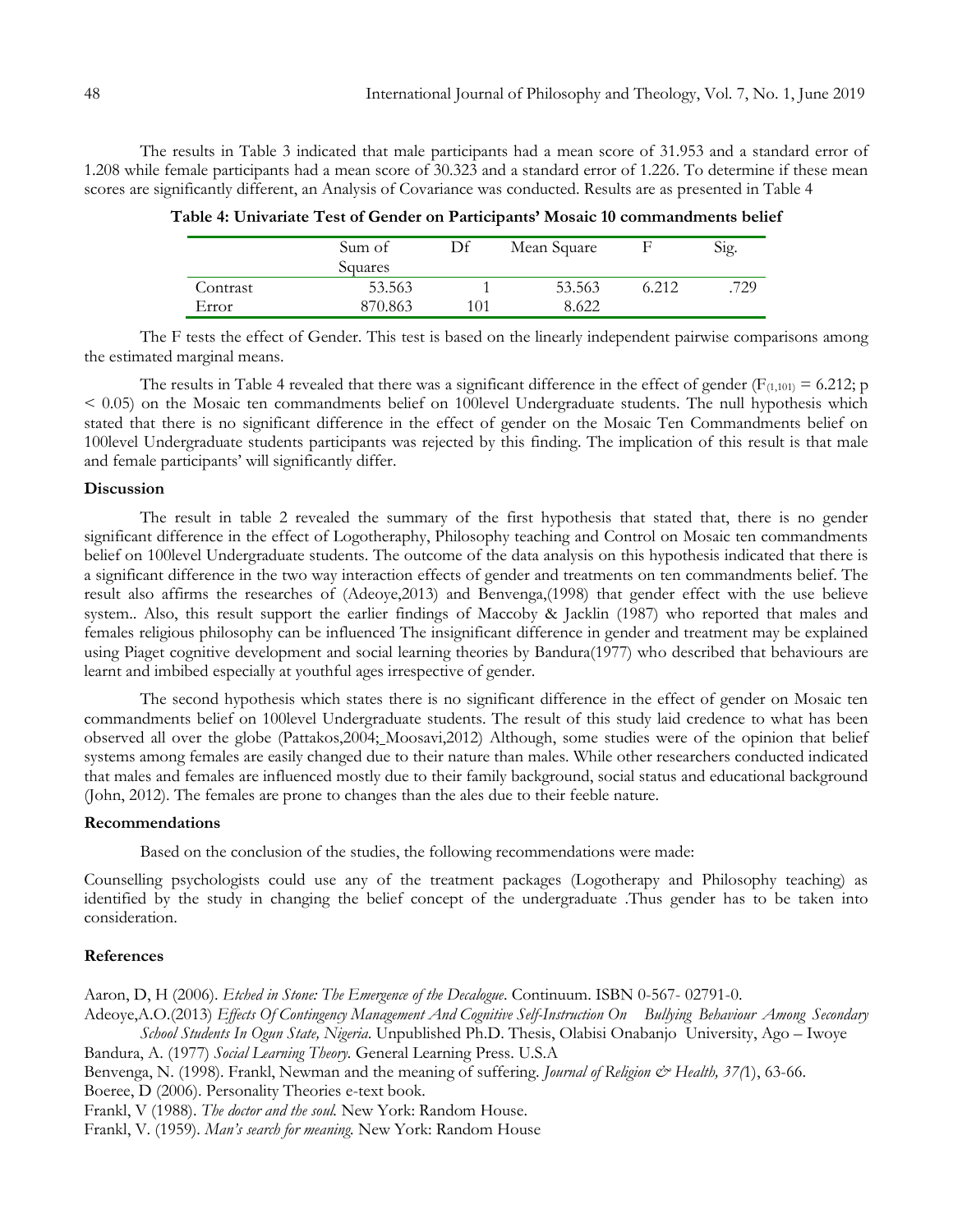The results in Table 3 indicated that male participants had a mean score of 31.953 and a standard error of 1.208 while female participants had a mean score of 30.323 and a standard error of 1.226. To determine if these mean scores are significantly different, an Analysis of Covariance was conducted. Results are as presented in Table 4

|          | Sum of<br>Squares | Df  | Mean Square |       | Sig. |
|----------|-------------------|-----|-------------|-------|------|
| Contrast | 53.563            |     | 53.563      | 5.212 | 729  |
| Error    | 870.863           | 101 | 8.622       |       |      |

**Table 4: Univariate Test of Gender on Participants' Mosaic 10 commandments belief**

The F tests the effect of Gender. This test is based on the linearly independent pairwise comparisons among the estimated marginal means.

The results in Table 4 revealed that there was a significant difference in the effect of gender ( $F_{(1,101)} = 6.212$ ; p < 0.05) on the Mosaic ten commandments belief on 100level Undergraduate students. The null hypothesis which stated that there is no significant difference in the effect of gender on the Mosaic Ten Commandments belief on 100level Undergraduate students participants was rejected by this finding. The implication of this result is that male and female participants' will significantly differ.

# **Discussion**

The result in table 2 revealed the summary of the first hypothesis that stated that, there is no gender significant difference in the effect of Logotheraphy, Philosophy teaching and Control on Mosaic ten commandments belief on 100level Undergraduate students. The outcome of the data analysis on this hypothesis indicated that there is a significant difference in the two way interaction effects of gender and treatments on ten commandments belief. The result also affirms the researches of (Adeoye,2013) and Benvenga,(1998) that gender effect with the use believe system.. Also, this result support the earlier findings of Maccoby & Jacklin (1987) who reported that males and females religious philosophy can be influenced The insignificant difference in gender and treatment may be explained using Piaget cognitive development and social learning theories by Bandura(1977) who described that behaviours are learnt and imbibed especially at youthful ages irrespective of gender.

The second hypothesis which states there is no significant difference in the effect of gender on Mosaic ten commandments belief on 100level Undergraduate students. The result of this study laid credence to what has been observed all over the globe (Pattakos,2004; Moosavi,2012) Although, some studies were of the opinion that belief systems among females are easily changed due to their nature than males. While other researchers conducted indicated that males and females are influenced mostly due to their family background, social status and educational background (John, 2012). The females are prone to changes than the ales due to their feeble nature.

# **Recommendations**

Based on the conclusion of the studies, the following recommendations were made:

Counselling psychologists could use any of the treatment packages (Logotherapy and Philosophy teaching) as identified by the study in changing the belief concept of the undergraduate .Thus gender has to be taken into consideration.

## **References**

Aaron, D, H (2006). *Etched in Stone: The Emergence of the Decalogue*. Continuum[. ISBN](https://en.wikipedia.org/wiki/International_Standard_Book_Number) 0-567- [02791-0.](https://en.wikipedia.org/wiki/Special:BookSources/0-567-02791-0)

Adeoye,A.O.(2013) *Effects Of Contingency Management And Cognitive Self-Instruction On Bullying Behaviour Among Secondary School Students In Ogun State, Nigeria*. Unpublished Ph.D. Thesis, Olabisi Onabanjo University, Ago – Iwoye

Bandura, A. (1977) *Social Learning Theory.* General Learning Press. U.S.A

Benvenga, N. (1998). Frankl, Newman and the meaning of suffering. *Journal of Religion & Health, 37(*1), 63-66.

Boeree, D (2006). Personality Theories e-text book.

Frankl, V (1988). *The doctor and the soul.* New York: Random House.

Frankl, V. (1959). *Man's search for meaning.* New York: Random House